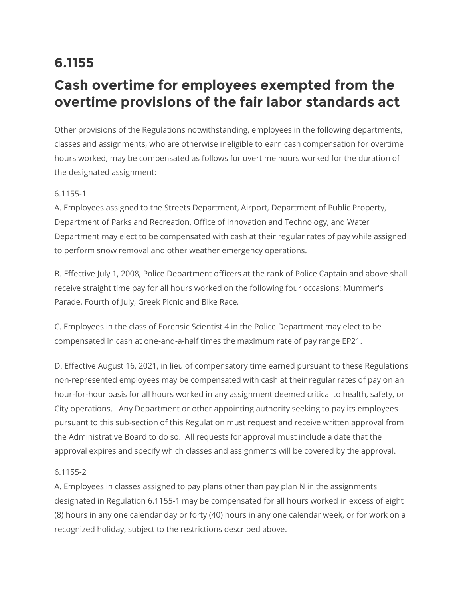## **6.1155**

## **Cash overtime for employees exempted from the overtime provisions of the fair labor standards act**

Other provisions of the Regulations notwithstanding, employees in the following departments, classes and assignments, who are otherwise ineligible to earn cash compensation for overtime hours worked, may be compensated as follows for overtime hours worked for the duration of the designated assignment:

## 6.1155-1

A. Employees assigned to the Streets Department, Airport, Department of Public Property, Department of Parks and Recreation, Office of Innovation and Technology, and Water Department may elect to be compensated with cash at their regular rates of pay while assigned to perform snow removal and other weather emergency operations.

B. Effective July 1, 2008, Police Department officers at the rank of Police Captain and above shall receive straight time pay for all hours worked on the following four occasions: Mummer's Parade, Fourth of July, Greek Picnic and Bike Race.

C. Employees in the class of Forensic Scientist 4 in the Police Department may elect to be compensated in cash at one-and-a-half times the maximum rate of pay range EP21.

D. Effective August 16, 2021, in lieu of compensatory time earned pursuant to these Regulations non-represented employees may be compensated with cash at their regular rates of pay on an hour-for-hour basis for all hours worked in any assignment deemed critical to health, safety, or City operations. Any Department or other appointing authority seeking to pay its employees pursuant to this sub-section of this Regulation must request and receive written approval from the Administrative Board to do so. All requests for approval must include a date that the approval expires and specify which classes and assignments will be covered by the approval.

## 6.1155-2

A. Employees in classes assigned to pay plans other than pay plan N in the assignments designated in Regulation 6.1155-1 may be compensated for all hours worked in excess of eight (8) hours in any one calendar day or forty (40) hours in any one calendar week, or for work on a recognized holiday, subject to the restrictions described above.